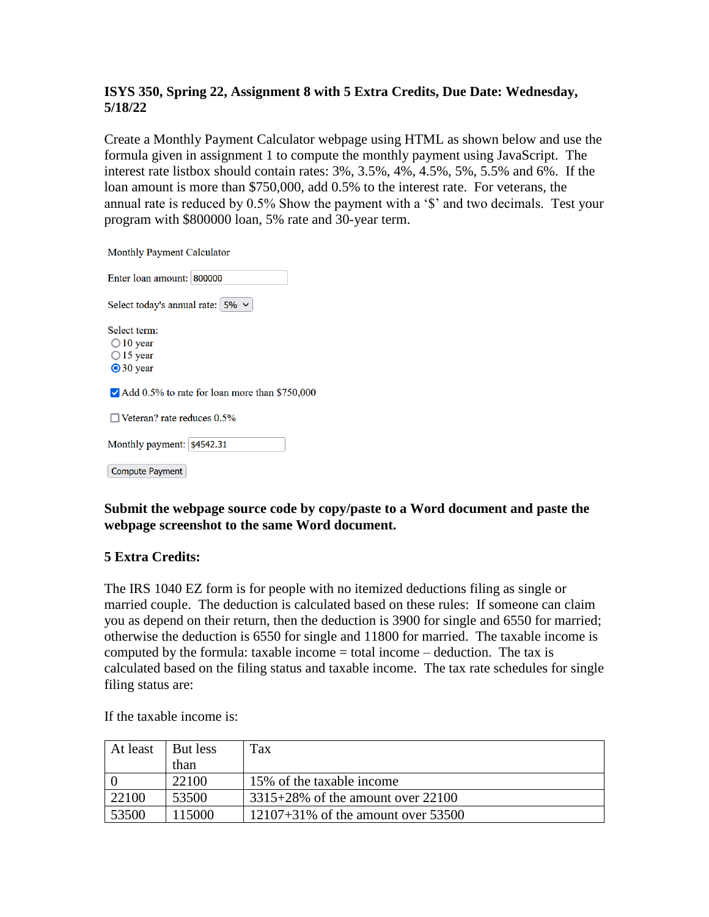## **ISYS 350, Spring 22, Assignment 8 with 5 Extra Credits, Due Date: Wednesday, 5/18/22**

Create a Monthly Payment Calculator webpage using HTML as shown below and use the formula given in assignment 1 to compute the monthly payment using JavaScript. The interest rate listbox should contain rates: 3%, 3.5%, 4%, 4.5%, 5%, 5.5% and 6%. If the loan amount is more than \$750,000, add 0.5% to the interest rate. For veterans, the annual rate is reduced by 0.5% Show the payment with a '\$' and two decimals. Test your program with \$800000 loan, 5% rate and 30-year term.

**Monthly Payment Calculator** 

| Enter loan amount: 800000                                                   |
|-----------------------------------------------------------------------------|
| Select today's annual rate: $5\% \sim$                                      |
| Select term:<br>$\bigcirc$ 10 year<br>$\bigcirc$ 15 year<br>$\odot$ 30 year |
| Add 0.5% to rate for loan more than \$750,000                               |
| $\Box$ Veteran? rate reduces 0.5%                                           |
| Monthly payment: \$4542.31                                                  |
| <b>Compute Payment</b>                                                      |

## **Submit the webpage source code by copy/paste to a Word document and paste the webpage screenshot to the same Word document.**

## **5 Extra Credits:**

The IRS 1040 EZ form is for people with no itemized deductions filing as single or married couple. The deduction is calculated based on these rules: If someone can claim you as depend on their return, then the deduction is 3900 for single and 6550 for married; otherwise the deduction is 6550 for single and 11800 for married. The taxable income is computed by the formula: taxable income  $=$  total income  $-$  deduction. The tax is calculated based on the filing status and taxable income. The tax rate schedules for single filing status are:

| At least | But less | Tax                                   |
|----------|----------|---------------------------------------|
|          | than     |                                       |
|          | 22100    | 15% of the taxable income             |
| 22100    | 53500    | $3315+28\%$ of the amount over 22100  |
| 53500    | 115000   | $12107+31\%$ of the amount over 53500 |

If the taxable income is: